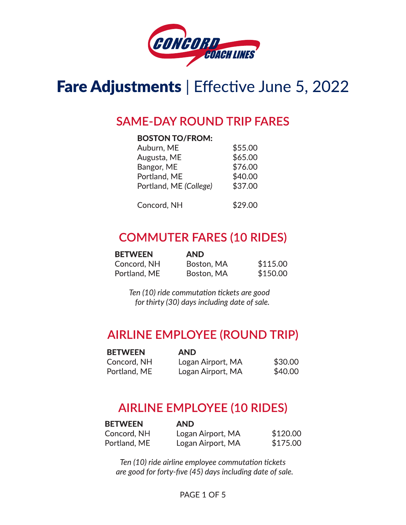

### Fare Adjustments | Effective June 5, 2022

#### **SAME-DAY ROUND TRIP FARES**

#### **BOSTON TO/FROM:**

| Auburn, ME             | \$55.00 |
|------------------------|---------|
| Augusta, ME            | \$65.00 |
| Bangor, ME             | \$76.00 |
| Portland, ME           | \$40.00 |
| Portland, ME (College) | \$37.00 |
| Concord, NH            | \$29.00 |

### **COMMUTER FARES (10 RIDES)**

| <b>BETWEEN</b> | <b>AND</b> |          |
|----------------|------------|----------|
| Concord, NH    | Boston, MA | \$115.00 |
| Portland, ME   | Boston, MA | \$150.00 |

Ten (10) ride commutation tickets are good for thirty (30) days including date of sale.

#### **AIRLINE EMPLOYEE (ROUND TRIP)**

| <b>BETWEEN</b> | <b>AND</b>        |         |
|----------------|-------------------|---------|
| Concord, NH    | Logan Airport, MA | \$30.00 |
| Portland, ME   | Logan Airport, MA | \$40.00 |

#### **AIRLINE EMPLOYEE (10 RIDES)**

| <b>BETWEEN</b> | <b>AND</b>        |          |
|----------------|-------------------|----------|
| Concord, NH    | Logan Airport, MA | \$120.00 |
| Portland, ME   | Logan Airport, MA | \$175.00 |

Ten (10) ride airline employee commutation tickets are good for forty-five (45) days including date of sale.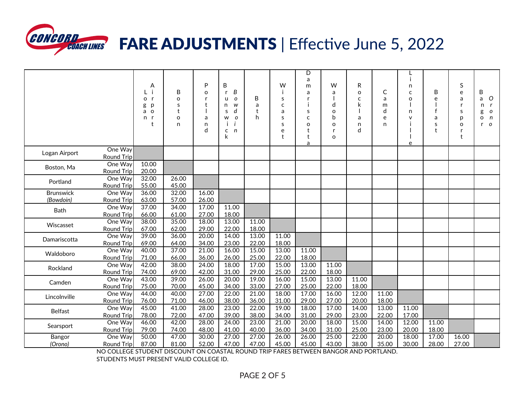

# **WEORD COACH LINES FARE ADJUSTMENTS** | Effective June 5, 2022

|                               |                              | Α<br>o<br>$\mathbf{r}$<br>g<br>p<br>$\circ$<br>a<br>n<br>$\mathbf t$ | B<br>o<br>S<br>t<br>$\circ$<br>n | P<br>$\circ$<br>r<br>t<br>a<br>n<br>d | B<br>B<br>r<br>$\mathcal{O}$<br>u<br>W<br>n<br>d<br>S<br>$\mathbf{o}$<br>W<br>n<br>C<br>k | B<br>a<br>t<br>h | W<br>S<br>$\mathsf{C}$<br>a<br>S<br>S<br>e<br>t | D<br>a<br>m<br>a<br>s<br>$\mathsf{C}$<br>o<br>t<br>t<br>a | W<br>a<br>d<br>$\circ$<br>b<br>$\circ$<br>r<br>$\Omega$ | R<br>$\Omega$<br>C<br>k<br>a<br>n<br>d | C<br>a<br>m<br>d<br>e<br>n | j.<br>n<br>$\mathsf{C}$<br>$\circ$<br>n<br>$\vee$<br>e | B<br>e<br>f<br>a<br>S<br>$\ddagger$ | S<br>e<br>a<br>r<br>s<br>p<br>o<br>r<br>$\mathbf{t}$ | B<br>O<br>a<br>n<br>o<br>g<br>n<br>O<br>$\mathcal{O}$<br>r |
|-------------------------------|------------------------------|----------------------------------------------------------------------|----------------------------------|---------------------------------------|-------------------------------------------------------------------------------------------|------------------|-------------------------------------------------|-----------------------------------------------------------|---------------------------------------------------------|----------------------------------------|----------------------------|--------------------------------------------------------|-------------------------------------|------------------------------------------------------|------------------------------------------------------------|
| Logan Airport                 | One Way<br><b>Round Trip</b> |                                                                      |                                  |                                       |                                                                                           |                  |                                                 |                                                           |                                                         |                                        |                            |                                                        |                                     |                                                      |                                                            |
| Boston, Ma                    | One Way<br><b>Round Trip</b> | 10.00<br>20.00                                                       |                                  |                                       |                                                                                           |                  |                                                 |                                                           |                                                         |                                        |                            |                                                        |                                     |                                                      |                                                            |
| Portland                      | One Way<br><b>Round Trip</b> | 32.00<br>55.00                                                       | 26.00<br>45.00                   |                                       |                                                                                           |                  |                                                 |                                                           |                                                         |                                        |                            |                                                        |                                     |                                                      |                                                            |
| <b>Brunswick</b><br>(Bowdoin) | One Way<br><b>Round Trip</b> | 36.00<br>63.00                                                       | 32.00<br>57.00                   | 16.00<br>26.00                        |                                                                                           |                  |                                                 |                                                           |                                                         |                                        |                            |                                                        |                                     |                                                      |                                                            |
| Bath                          | One Way<br><b>Round Trip</b> | 37.00<br>66.00                                                       | 34.00<br>61.00                   | 17.00<br>27.00                        | 11.00<br>18.00                                                                            |                  |                                                 |                                                           |                                                         |                                        |                            |                                                        |                                     |                                                      |                                                            |
| Wiscasset                     | One Way<br><b>Round Trip</b> | 38.00<br>67.00                                                       | 35.00<br>62.00                   | 18.00<br>29.00                        | 13.00<br>22.00                                                                            | 11.00<br>18.00   |                                                 |                                                           |                                                         |                                        |                            |                                                        |                                     |                                                      |                                                            |
| Damariscotta                  | One Way<br><b>Round Trip</b> | 39.00<br>69.00                                                       | 36.00<br>64.00                   | 20.00<br>34.00                        | 14.00<br>23.00                                                                            | 13.00<br>22.00   | 11.00<br>18.00                                  |                                                           |                                                         |                                        |                            |                                                        |                                     |                                                      |                                                            |
| Waldoboro                     | One Way<br><b>Round Trip</b> | 40.00<br>71.00                                                       | 37.00<br>66.00                   | 21.00<br>36.00                        | 16.00<br>26.00                                                                            | 15.00<br>25.00   | 13.00<br>22.00                                  | 11.00<br>18.00                                            |                                                         |                                        |                            |                                                        |                                     |                                                      |                                                            |
| Rockland                      | One Way<br><b>Round Trip</b> | 42.00<br>74.00                                                       | 38.00<br>69.00                   | 24.00<br>42.00                        | 18.00<br>31.00                                                                            | 17.00<br>29.00   | 15.00<br>25.00                                  | 13.00<br>22.00                                            | 11.00<br>18.00                                          |                                        |                            |                                                        |                                     |                                                      |                                                            |
| Camden                        | One Way<br><b>Round Trip</b> | 43.00<br>75.00                                                       | 39.00<br>70.00                   | 26.00<br>45.00                        | 20.00<br>34.00                                                                            | 19.00<br>33.00   | 16.00<br>27.00                                  | 15.00<br>25.00                                            | 13.00<br>22.00                                          | 11.00<br>18.00                         |                            |                                                        |                                     |                                                      |                                                            |
| Lincolnville                  | One Way<br><b>Round Trip</b> | 44.00<br>76.00                                                       | 40.00<br>71.00                   | 27.00<br>46.00                        | 22.00<br>38.00                                                                            | 21.00<br>36.00   | 18.00<br>31.00                                  | 17.00<br>29.00                                            | 16.00<br>27.00                                          | 12.00<br>20.00                         | 11.00<br>18.00             |                                                        |                                     |                                                      |                                                            |
| <b>Belfast</b>                | One Way<br><b>Round Trip</b> | 45.00<br>78.00                                                       | 41.00<br>72.00                   | 28.00<br>47.00                        | 23.00<br>39.00                                                                            | 22.00<br>38.00   | 19.00<br>34.00                                  | 18.00<br>31.00                                            | 17.00<br>29.00                                          | 14.00<br>23.00                         | 13.00<br>22.00             | 11.00<br>17.00                                         |                                     |                                                      |                                                            |
| Searsport                     | One Way<br><b>Round Trip</b> | 46.00<br>79.00                                                       | 42.00<br>74.00                   | 28.00<br>48.00                        | 24.00<br>41.00                                                                            | 23.00<br>40.00   | 21.00<br>36.00                                  | 20.00<br>34.00                                            | 18.00<br>31.00                                          | 15.00<br>25.00                         | 14.00<br>23.00             | 12.00<br>20.00                                         | 11.00<br>18.00                      |                                                      |                                                            |
| Bangor<br>(Orono)             | One Way<br><b>Round Trip</b> | 50.00<br>87.00                                                       | 47.00<br>81.00                   | 30.00<br>52.00                        | 27.00<br>47.00                                                                            | 27.00<br>47.00   | 26.00<br>45.00                                  | 26.00<br>45.00                                            | 25.00<br>43.00                                          | 22.00<br>38.00                         | 20.00<br>35.00             | 18.00<br>30.00                                         | 17.00<br>28.00                      | 16.00<br>27.00                                       |                                                            |

NO COLLEGE STUDENT DISCOUNT ON COASTAL ROUND TRIP FARES BETWEEN BANGOR AND PORTLAND.

STUDENTS MUST PRESENT VALID COLLEGE ID.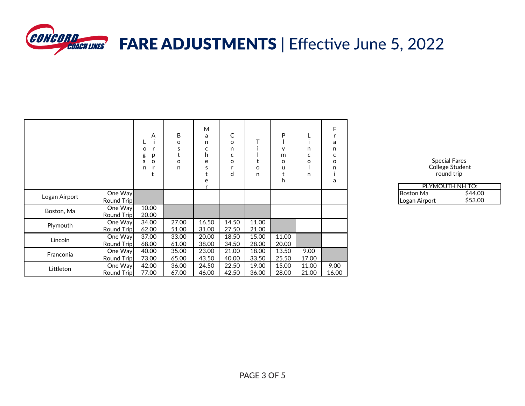

|               |                              | A<br>O<br>p<br>g<br>o<br>a<br>n | B<br>o<br>s<br>o<br>n | M<br>a<br>n<br>c<br>h<br>e<br>S<br>t<br>e | C<br>o<br>n<br>c<br>o<br>d | Т<br>t<br>$\circ$<br>n | P<br>v<br>m<br>o<br>u<br>h. | n<br>c<br>o<br>n | F<br>r<br>a<br>n<br>c<br>o<br>n<br>a |                                   |
|---------------|------------------------------|---------------------------------|-----------------------|-------------------------------------------|----------------------------|------------------------|-----------------------------|------------------|--------------------------------------|-----------------------------------|
| Logan Airport | One Way<br>Round Trip        |                                 |                       |                                           |                            |                        |                             |                  |                                      | <b>Boston Ma</b><br>Logan Airport |
| Boston, Ma    | One Way<br><b>Round Trip</b> | 10.00<br>20.00                  |                       |                                           |                            |                        |                             |                  |                                      |                                   |
| Plymouth      | One Way<br>Round Trip        | 34.00<br>62.00                  | 27.00<br>51.00        | 16.50<br>31.00                            | 14.50<br>27.50             | 11.00<br>21.00         |                             |                  |                                      |                                   |
| Lincoln       | One Way<br>Round Trip        | 37.00<br>68.00                  | 33.00<br>61.00        | 20.00<br>38.00                            | 18.50<br>34.50             | 15.00<br>28.00         | 11.00<br>20.00              |                  |                                      |                                   |
| Franconia     | One Way<br>Round Trip        | 40.00<br>73.00                  | 35.00<br>65.00        | 23.00<br>43.50                            | 21.00<br>40.00             | 18.00<br>33.50         | 13.50<br>25.50              | 9.00<br>17.00    |                                      |                                   |
| Littleton     | One Way<br>Round Trip        | 42.00<br>77.00                  | 36.00<br>67.00        | 24.50<br>46.00                            | 22.50<br>42.50             | 19.00<br>36.00         | 15.00<br>28.00              | 11.00<br>21.00   | 9.00<br>16.00                        |                                   |

Special Fares College Student round trip

|                  | PI YMOUTH NH TO: |
|------------------|------------------|
| <b>Boston Ma</b> | \$44.00          |
| Logan Airport    | \$53.00          |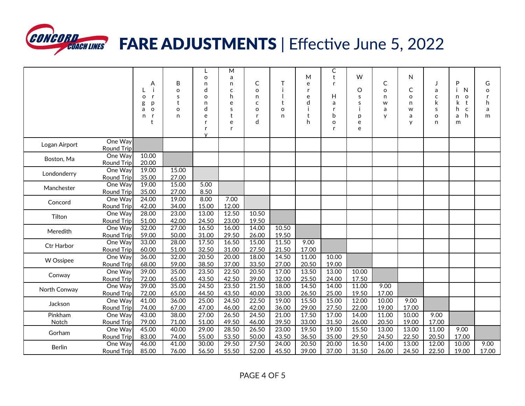

## **CONCORD COACH LINES FARE ADJUSTMENTS** | Effective June 5, 2022

|                  |                              | A<br>$\mathsf{r}$<br>$\circ$<br>D<br>g<br>$\circ$<br>a<br>n.<br>-r<br>t | B<br>$\Omega$<br>S<br>t<br>O<br>n | L<br>$\circ$<br>n<br>d<br>$\circ$<br>n<br>d<br>e<br>r<br>r<br>$\checkmark$ | M<br>a<br>n<br>C<br>h<br>e<br>S<br>$\ddagger$<br>e<br>r | С<br>$\Omega$<br>n<br>C<br>$\Omega$<br>r<br>d | т<br>$\mathbf t$<br>$\Omega$<br>n | M<br>e<br>r<br>e<br>d<br>h | С<br>t<br>Н<br>a<br>b<br>$\circ$ | W<br>O<br>s<br>S<br>p<br>e<br>e | C<br>$\Omega$<br>n<br>W<br>a<br>$\mathsf{v}$ | N<br>C<br>$\circ$<br>n<br>w<br>a<br>y | a<br>$\mathsf{C}$<br>k<br>s<br>$\Omega$<br>n | P<br>N<br>n<br>o<br>k<br>t<br>h<br>$\mathsf{C}$<br>h<br>a<br>m | G<br>$\circ$<br>$\mathsf{r}$<br>h<br>a<br>m |
|------------------|------------------------------|-------------------------------------------------------------------------|-----------------------------------|----------------------------------------------------------------------------|---------------------------------------------------------|-----------------------------------------------|-----------------------------------|----------------------------|----------------------------------|---------------------------------|----------------------------------------------|---------------------------------------|----------------------------------------------|----------------------------------------------------------------|---------------------------------------------|
| Logan Airport    | One Way<br><b>Round Trip</b> |                                                                         |                                   |                                                                            |                                                         |                                               |                                   |                            |                                  |                                 |                                              |                                       |                                              |                                                                |                                             |
| Boston, Ma       | One Way<br><b>Round Trip</b> | 10.00<br>20.00                                                          |                                   |                                                                            |                                                         |                                               |                                   |                            |                                  |                                 |                                              |                                       |                                              |                                                                |                                             |
| Londonderry      | One Way<br><b>Round Trip</b> | 19.00<br>35.00                                                          | 15.00<br>27.00                    |                                                                            |                                                         |                                               |                                   |                            |                                  |                                 |                                              |                                       |                                              |                                                                |                                             |
| Manchester       | One Way<br><b>Round Trip</b> | 19.00<br>35.00                                                          | 15.00<br>27.00                    | 5.00<br>8.50                                                               |                                                         |                                               |                                   |                            |                                  |                                 |                                              |                                       |                                              |                                                                |                                             |
| Concord          | One Way<br><b>Round Trip</b> | 24.00<br>42.00                                                          | 19.00<br>34.00                    | 8.00<br>15.00                                                              | 7.00<br>12.00                                           |                                               |                                   |                            |                                  |                                 |                                              |                                       |                                              |                                                                |                                             |
| Tilton           | One Way<br><b>Round Trip</b> | 28.00<br>51.00                                                          | 23.00<br>42.00                    | 13.00<br>24.50                                                             | 12.50<br>23.00                                          | 10.50<br>19.50                                |                                   |                            |                                  |                                 |                                              |                                       |                                              |                                                                |                                             |
| Meredith         | One Way<br><b>Round Trip</b> | 32.00<br>59.00                                                          | 27.00<br>50.00                    | 16.50<br>31.00                                                             | 16.00<br>29.50                                          | 14.00<br>26.00                                | 10.50<br>19.50                    |                            |                                  |                                 |                                              |                                       |                                              |                                                                |                                             |
| Ctr Harbor       | One Way<br><b>Round Trip</b> | 33.00<br>60.00                                                          | 28.00<br>51.00                    | 17.50<br>32.50                                                             | 16.50<br>31.00                                          | 15.00<br>27.50                                | 11.50<br>21.50                    | 9.00<br>17.00              |                                  |                                 |                                              |                                       |                                              |                                                                |                                             |
| W Ossipee        | One Way<br><b>Round Trip</b> | 36.00<br>68.00                                                          | 32.00<br>59.00                    | 20.50<br>38.50                                                             | 20.00<br>37.00                                          | 18.00<br>33.50                                | 14.50<br>27.00                    | 11.00<br>20.50             | 10.00<br>19.00                   |                                 |                                              |                                       |                                              |                                                                |                                             |
| Conway           | One Way<br><b>Round Trip</b> | 39.00<br>72.00                                                          | 35.00<br>65.00                    | 23.50<br>43.50                                                             | 22.50<br>42.50                                          | 20.50<br>39.00                                | 17.00<br>32.00                    | 13.50<br>25.50             | 13.00<br>24.00                   | 10.00<br>17.50                  |                                              |                                       |                                              |                                                                |                                             |
| North Conway     | One Way<br><b>Round Trip</b> | 39.00<br>72.00                                                          | 35.00<br>65.00                    | 24.50<br>44.50                                                             | 23.50<br>43.50                                          | 21.50<br>40.00                                | 18.00<br>33.00                    | 14.50<br>26.50             | 14.00<br>25.00                   | 11.00<br>19.50                  | 9.00<br>17.00                                |                                       |                                              |                                                                |                                             |
| Jackson          | One Way<br><b>Round Trip</b> | 41.00<br>74.00                                                          | 36.00<br>67.00                    | 25.00<br>47.00                                                             | 24.50<br>46.00                                          | 22.50<br>42.00                                | 19.00<br>36.00                    | 15.50<br>29.00             | 15.00<br>27.50                   | 12.00<br>22.00                  | 10.00<br>19.00                               | 9.00<br>17.00                         |                                              |                                                                |                                             |
| Pinkham<br>Notch | One Way<br><b>Round Trip</b> | 43.00<br>79.00                                                          | 38.00<br>71.00                    | 27.00<br>51.00                                                             | 26.50<br>49.50                                          | 24.50<br>46.00                                | 21.00<br>39.50                    | 17.50<br>33.00             | 17.00<br>31.50                   | 14.00<br>26.00                  | 11.00<br>20.50                               | 10.00<br>19.00                        | 9.00<br>17.00                                |                                                                |                                             |
| Gorham           | One Way<br>Round Trip        | 45.00<br>83.00                                                          | 40.00<br>74.00                    | 29.00<br>55.00                                                             | 28.50<br>53.50                                          | 26.50<br>50.00                                | 23.00<br>43.50                    | 19.50<br>36.50             | 19.00<br>35.00                   | 15.50<br>29.50                  | 13.00<br>24.50                               | 13.00<br>22.50                        | 11.00<br>20.50                               | 9.00<br>17.00                                                  |                                             |
| <b>Berlin</b>    | One Way<br><b>Round Trip</b> | 46.00<br>85.00                                                          | 41.00<br>76.00                    | 30.00<br>56.50                                                             | 29.50<br>55.50                                          | 27.50<br>52.00                                | 24.00<br>45.50                    | 20.50<br>39.00             | 20.00<br>37.00                   | 16.50<br>31.50                  | 14.00<br>26.00                               | 13.00<br>24.50                        | 12.00<br>22.50                               | 10.00<br>19.00                                                 | 9.00<br>17.00                               |